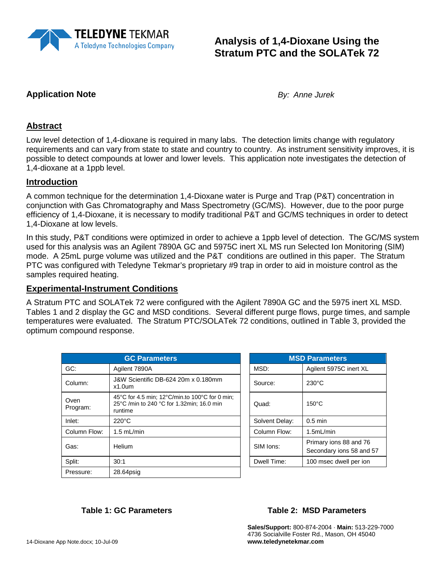

## **Analysis of 1,4-Dioxane Using the Stratum PTC and the SOLATek 72**

#### **Application Note** *By: Anne Jurek*

#### **Abstract**

Low level detection of 1,4-dioxane is required in many labs. The detection limits change with regulatory requirements and can vary from state to state and country to country. As instrument sensitivity improves, it is possible to detect compounds at lower and lower levels. This application note investigates the detection of 1,4-dioxane at a 1ppb level.

#### **Introduction**

A common technique for the determination 1,4-Dioxane water is Purge and Trap (P&T) concentration in conjunction with Gas Chromatography and Mass Spectrometry (GC/MS). However, due to the poor purge efficiency of 1,4-Dioxane, it is necessary to modify traditional P&T and GC/MS techniques in order to detect 1,4-Dioxane at low levels.

In this study, P&T conditions were optimized in order to achieve a 1ppb level of detection. The GC/MS system used for this analysis was an Agilent 7890A GC and 5975C inert XL MS run Selected Ion Monitoring (SIM) mode. A 25mL purge volume was utilized and the P&T conditions are outlined in this paper. The Stratum PTC was configured with Teledyne Tekmar's proprietary #9 trap in order to aid in moisture control as the samples required heating.

#### **Experimental-Instrument Conditions**

A Stratum PTC and SOLATek 72 were configured with the Agilent 7890A GC and the 5975 inert XL MSD. Tables 1 and 2 display the GC and MSD conditions. Several different purge flows, purge times, and sample temperatures were evaluated. The Stratum PTC/SOLATek 72 conditions, outlined in Table 3, provided the optimum compound response.

| <b>GC Parameters</b> |                                                                                                        |  |                | <b>MSD Parameters</b>                           |
|----------------------|--------------------------------------------------------------------------------------------------------|--|----------------|-------------------------------------------------|
| GC:                  | Agilent 7890A                                                                                          |  | MSD:           | Agilent 5975C inert XL                          |
| Column:              | J&W Scientific DB-624 20m x 0.180mm<br>$x1.0$ um                                                       |  | Source:        | $230^{\circ}$ C                                 |
| Oven<br>Program:     | 45°C for 4.5 min; 12°C/min.to 100°C for 0 min;<br>25°C /min to 240 °C for 1.32min; 16.0 min<br>runtime |  | Quad:          | $150^{\circ}$ C                                 |
| Inlet:               | $220^{\circ}$ C                                                                                        |  | Solvent Delay: | $0.5$ min                                       |
| Column Flow:         | $1.5$ mL/min                                                                                           |  | Column Flow:   | 1.5mL/min                                       |
| Gas:                 | Helium                                                                                                 |  | SIM lons:      | Primary ions 88 and 76<br>Secondary ions 58 and |
| Split:               | 30:1                                                                                                   |  | Dwell Time:    | 100 msec dwell per ion                          |
| Pressure:            | $28.64$ psig                                                                                           |  |                |                                                 |

| <b>MSD Parameters</b> |                                                    |  |  |
|-----------------------|----------------------------------------------------|--|--|
| MSD:                  | Agilent 5975C inert XL                             |  |  |
| Source:               | $230^{\circ}$ C                                    |  |  |
| Quad:                 | $150^{\circ}$ C                                    |  |  |
| Solvent Delay:        | $0.5$ min                                          |  |  |
| Column Flow:          | 1.5mL/min                                          |  |  |
| SIM Ions:             | Primary ions 88 and 76<br>Secondary ions 58 and 57 |  |  |
| Dwell Time:           | 100 msec dwell per ion                             |  |  |

#### **Table 1: GC Parameters Table 2: MSD Parameters**

**Sales/Support:** 800-874-2004 · **Main:** 513-229-7000 4736 Socialville Foster Rd., Mason, OH 45040 **www.teledynetekmar.com**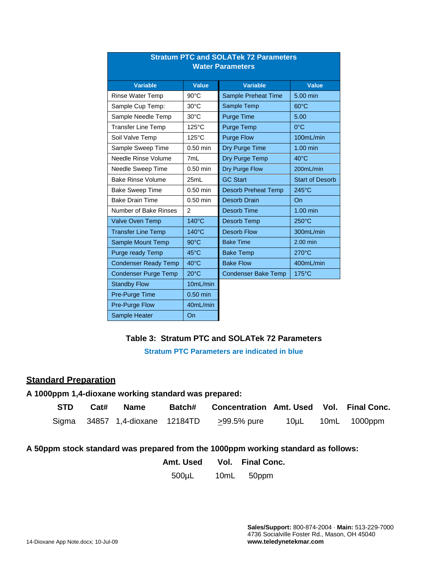| <u>JUALUILLET VAIN JULATEN 72 FAIAINGIST</u><br><b>Water Parameters</b> |                 |                            |                        |  |  |
|-------------------------------------------------------------------------|-----------------|----------------------------|------------------------|--|--|
| <b>Variable</b>                                                         | Value           | <b>Variable</b>            | <b>Value</b>           |  |  |
| Rinse Water Temp                                                        | $90^{\circ}$ C  | Sample Preheat Time        | 5.00 min               |  |  |
| Sample Cup Temp:                                                        | 30°C            | Sample Temp                | $60^{\circ}$ C         |  |  |
| Sample Needle Temp                                                      | 30°C            | <b>Purge Time</b>          | 5.00                   |  |  |
| <b>Transfer Line Temp</b>                                               | 125°C           | Purge Temp                 | $0^{\circ}$ C          |  |  |
| Soil Valve Temp                                                         | 125°C           | <b>Purge Flow</b>          | 100mL/min              |  |  |
| Sample Sweep Time                                                       | $0.50$ min      | Dry Purge Time             | 1.00 min               |  |  |
| Needle Rinse Volume                                                     | 7mL             | Dry Purge Temp             | $40^{\circ}$ C         |  |  |
| Needle Sweep Time                                                       | $0.50$ min      | Dry Purge Flow             | 200mL/min              |  |  |
| <b>Bake Rinse Volume</b>                                                | 25mL            | <b>GC Start</b>            | <b>Start of Desorb</b> |  |  |
| <b>Bake Sweep Time</b>                                                  | $0.50$ min      | <b>Desorb Preheat Temp</b> | $245^{\circ}$ C        |  |  |
| <b>Bake Drain Time</b>                                                  | $0.50$ min      | <b>Desorb Drain</b>        | On                     |  |  |
| Number of Bake Rinses                                                   | 2               | <b>Desorb Time</b>         | 1.00 min               |  |  |
| <b>Valve Oven Temp</b>                                                  | $140^{\circ}$ C | <b>Desorb Temp</b>         | $250^{\circ}$ C        |  |  |
| <b>Transfer Line Temp</b>                                               | $140^{\circ}$ C | <b>Desorb Flow</b>         | 300mL/min              |  |  |
| Sample Mount Temp                                                       | $90^{\circ}$ C  | <b>Bake Time</b>           | 2.00 min               |  |  |
| Purge ready Temp                                                        | $45^{\circ}$ C  | <b>Bake Temp</b>           | $270^{\circ}$ C        |  |  |
| <b>Condenser Ready Temp</b>                                             | 40°C            | <b>Bake Flow</b>           | 400mL/min              |  |  |
| <b>Condenser Purge Temp</b>                                             | $20^{\circ}$ C  | <b>Condenser Bake Temp</b> | 175°C                  |  |  |
| <b>Standby Flow</b><br>10mL/min                                         |                 |                            |                        |  |  |
| Pre-Purge Time<br>$0.50$ min                                            |                 |                            |                        |  |  |
| <b>Pre-Purge Flow</b>                                                   | 40mL/min        |                            |                        |  |  |
| Sample Heater                                                           | On              |                            |                        |  |  |

# **Stratum PTC and SOL ATek 72 Parameters**

#### **Table 3: Stratum PTC and SOLATek 72 Parameters**

**Stratum PTC Parameters are indicated in blue**

### **Standard Preparation**

#### **A 1000ppm 1,4-dioxane working standard was prepared:**

| <b>STD</b> | Cat# Name                       | Batch# | Concentration Amt. Used Vol. Final Conc. |  |                                         |
|------------|---------------------------------|--------|------------------------------------------|--|-----------------------------------------|
|            | Sigma 34857 1,4-dioxane 12184TD |        | >99.5% pure                              |  | $10\mu L$ $10\text{m}$ $1000\text{ppm}$ |

### **A 50ppm stock standard was prepared from the 1000ppm working standard as follows:**

| Amt. Used   |      | Vol. Final Conc. |
|-------------|------|------------------|
| $500 \mu L$ | 10mL | 50ppm            |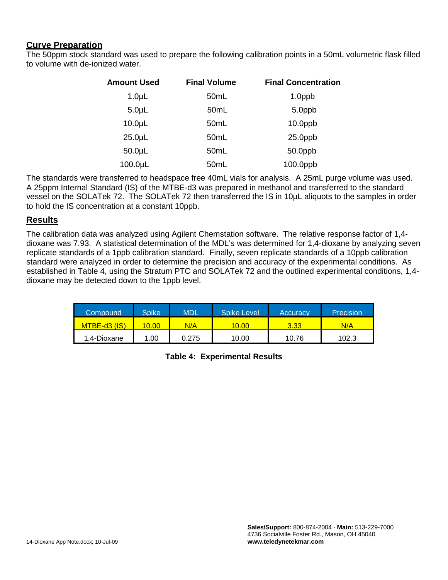#### **Curve Preparation**

The 50ppm stock standard was used to prepare the following calibration points in a 50mL volumetric flask filled to volume with de-ionized water.

| <b>Amount Used</b> | <b>Final Volume</b> | <b>Final Concentration</b> |
|--------------------|---------------------|----------------------------|
| 1.0 <sub>µ</sub>   | 50 <sub>mL</sub>    | 1.0ppb                     |
| 5.0 <sub>µ</sub>   | 50mL                | 5.0ppb                     |
| $10.0\mu$ L        | 50mL                | $10.0$ ppb                 |
| $25.0 \mu L$       | 50mL                | $25.0$ ppb                 |
| $50.0\mu$ L        | 50mL                | 50.0ppb                    |
| 100.0µL            | 50mL                | 100.0ppb                   |

The standards were transferred to headspace free 40mL vials for analysis. A 25mL purge volume was used. A 25ppm Internal Standard (IS) of the MTBE-d3 was prepared in methanol and transferred to the standard vessel on the SOLATek 72. The SOLATek 72 then transferred the IS in 10µL aliquots to the samples in order to hold the IS concentration at a constant 10ppb.

#### **Results**

The calibration data was analyzed using Agilent Chemstation software. The relative response factor of 1,4 dioxane was 7.93. A statistical determination of the MDL's was determined for 1,4-dioxane by analyzing seven replicate standards of a 1ppb calibration standard. Finally, seven replicate standards of a 10ppb calibration standard were analyzed in order to determine the precision and accuracy of the experimental conditions. As established in Table 4, using the Stratum PTC and SOLATek 72 and the outlined experimental conditions, 1,4 dioxane may be detected down to the 1ppb level.

| Compound     | <b>Spike</b> | MDL   | <b>Spike Level</b> | Accuracy | Precision |
|--------------|--------------|-------|--------------------|----------|-----------|
| MTBE-d3 (IS) | 10.00        | N/A   | 10.00              | 3.33     | N/A       |
| 1.4-Dioxane  | 1.00         | 0.275 | 10.00              | 10.76    | 102.3     |

**Table 4: Experimental Results**